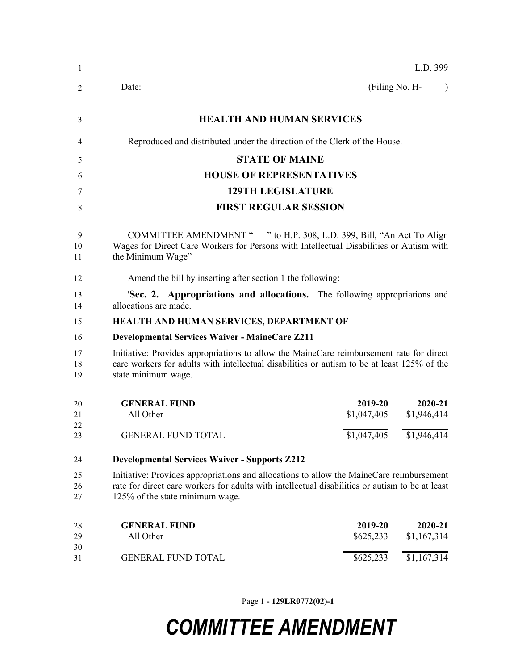| -1             |                                                                                                                                                                                                                                |                        | L.D. 399               |
|----------------|--------------------------------------------------------------------------------------------------------------------------------------------------------------------------------------------------------------------------------|------------------------|------------------------|
| 2              | Date:                                                                                                                                                                                                                          | (Filing No. H-         | $\lambda$              |
| 3              | <b>HEALTH AND HUMAN SERVICES</b>                                                                                                                                                                                               |                        |                        |
| 4              | Reproduced and distributed under the direction of the Clerk of the House.                                                                                                                                                      |                        |                        |
| 5              | <b>STATE OF MAINE</b>                                                                                                                                                                                                          |                        |                        |
| 6              | <b>HOUSE OF REPRESENTATIVES</b>                                                                                                                                                                                                |                        |                        |
| 7              | <b>129TH LEGISLATURE</b>                                                                                                                                                                                                       |                        |                        |
| 8              | <b>FIRST REGULAR SESSION</b>                                                                                                                                                                                                   |                        |                        |
| 9<br>10<br>11  | COMMITTEE AMENDMENT " " to H.P. 308, L.D. 399, Bill, "An Act To Align<br>Wages for Direct Care Workers for Persons with Intellectual Disabilities or Autism with<br>the Minimum Wage"                                          |                        |                        |
| 12             | Amend the bill by inserting after section 1 the following:                                                                                                                                                                     |                        |                        |
| 13<br>14       | <b>Sec. 2. Appropriations and allocations.</b> The following appropriations and<br>allocations are made.                                                                                                                       |                        |                        |
| 15             | HEALTH AND HUMAN SERVICES, DEPARTMENT OF                                                                                                                                                                                       |                        |                        |
| 16             | <b>Developmental Services Waiver - MaineCare Z211</b>                                                                                                                                                                          |                        |                        |
| 17<br>18<br>19 | Initiative: Provides appropriations to allow the MaineCare reimbursement rate for direct<br>care workers for adults with intellectual disabilities or autism to be at least 125% of the<br>state minimum wage.                 |                        |                        |
| 20<br>21<br>22 | <b>GENERAL FUND</b><br>All Other                                                                                                                                                                                               | 2019-20<br>\$1,047,405 | 2020-21<br>\$1,946,414 |
| 23             | <b>GENERAL FUND TOTAL</b>                                                                                                                                                                                                      | \$1,047,405            | \$1,946,414            |
| 24             | <b>Developmental Services Waiver - Supports Z212</b>                                                                                                                                                                           |                        |                        |
| 25<br>26<br>27 | Initiative: Provides appropriations and allocations to allow the MaineCare reimbursement<br>rate for direct care workers for adults with intellectual disabilities or autism to be at least<br>125% of the state minimum wage. |                        |                        |
| 28<br>29       | <b>GENERAL FUND</b><br>All Other                                                                                                                                                                                               | 2019-20<br>\$625,233   | 2020-21<br>\$1,167,314 |
| 30<br>31       | <b>GENERAL FUND TOTAL</b>                                                                                                                                                                                                      | \$625,233              | \$1,167,314            |

Page 1 **- 129LR0772(02)-1**

## *COMMITTEE AMENDMENT*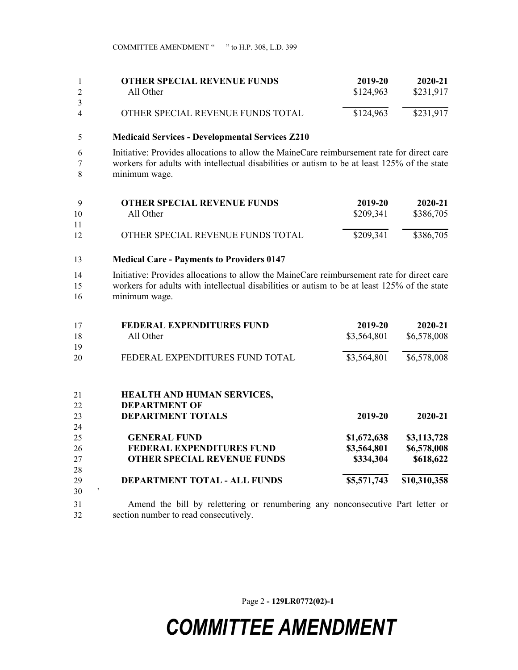| <b>OTHER SPECIAL REVENUE FUNDS</b> | 2019-20   | 2020-21   |
|------------------------------------|-----------|-----------|
| All Other                          | \$124,963 | \$231,917 |
|                                    |           |           |
| OTHER SPECIAL REVENUE FUNDS TOTAL  | \$124,963 | \$231,917 |

## **Medicaid Services - Developmental Services Z210**

 Initiative: Provides allocations to allow the MaineCare reimbursement rate for direct care workers for adults with intellectual disabilities or autism to be at least 125% of the state minimum wage.

| Q  | <b>OTHER SPECIAL REVENUE FUNDS</b> | 2019-20   | 2020-21   |
|----|------------------------------------|-----------|-----------|
| 10 | All Other                          | \$209,341 | \$386,705 |
| 11 |                                    |           |           |
| 12 | OTHER SPECIAL REVENUE FUNDS TOTAL  | \$209,341 | \$386,705 |
|    |                                    |           |           |

**Medical Care - Payments to Providers 0147**

section number to read consecutively.

 Initiative: Provides allocations to allow the MaineCare reimbursement rate for direct care workers for adults with intellectual disabilities or autism to be at least 125% of the state minimum wage.

| 17 | <b>FEDERAL EXPENDITURES FUND</b>                                               | 2019-20     | 2020-21      |
|----|--------------------------------------------------------------------------------|-------------|--------------|
| 18 | All Other                                                                      | \$3,564,801 | \$6,578,008  |
| 19 |                                                                                |             |              |
| 20 | FEDERAL EXPENDITURES FUND TOTAL                                                | \$3,564,801 | \$6,578,008  |
| 21 | <b>HEALTH AND HUMAN SERVICES,</b>                                              |             |              |
| 22 | <b>DEPARTMENT OF</b>                                                           |             |              |
| 23 | <b>DEPARTMENT TOTALS</b>                                                       | 2019-20     | 2020-21      |
| 24 |                                                                                |             |              |
| 25 | <b>GENERAL FUND</b>                                                            | \$1,672,638 | \$3,113,728  |
| 26 | FEDERAL EXPENDITURES FUND                                                      | \$3,564,801 | \$6,578,008  |
| 27 | <b>OTHER SPECIAL REVENUE FUNDS</b>                                             | \$334,304   | \$618,622    |
| 28 |                                                                                |             |              |
| 29 | DEPARTMENT TOTAL - ALL FUNDS                                                   | \$5,571,743 | \$10,310,358 |
| 30 |                                                                                |             |              |
| 31 | Amend the bill by relettering or renumbering any nonconsecutive Part letter or |             |              |

Page 2 **- 129LR0772(02)-1**

## *COMMITTEE AMENDMENT*